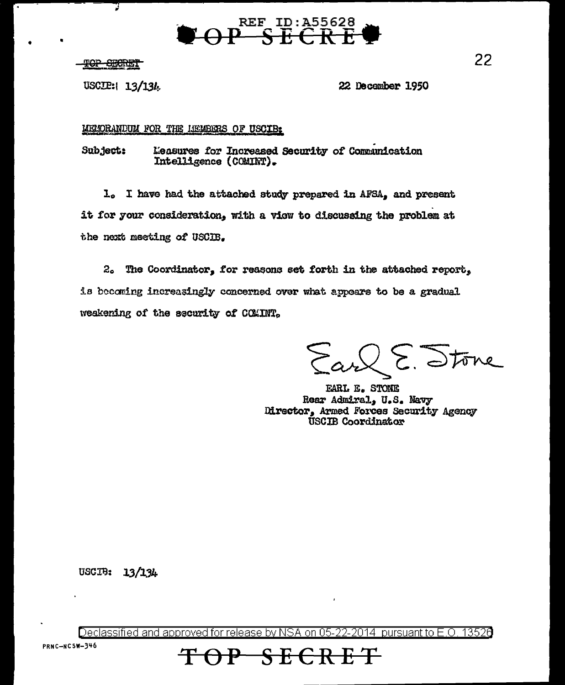

<del>TOP SECRET</del>

Ţ

USCIP: 13/134

22 December 1950

MELORANDUM FOR THE LIEMBERS OF USCIB:

Subject: Measures for Increased Security of Communication Intelligence (COMINT).

1. I have had the attached study prepared in AFSA, and present it for your consideration, with a view to discussing the problem at the next meeting of USCIB.

2. The Coordinator, for reasons set forth in the attached report, is becoming increasingly concerned over what appears to be a gradual weakening of the security of COMINT.

 $2\epsilon$ . Stone

EARL E. STONE Rear Admiral, U.S. Navy Director, Armed Forces Security Agency USCIB Coordinator

USCIB: 13/134

Declassified and approved for release by NSA on 05-22-2014 pursuant to E.O. 13526

<del>E SECRET</del>

PRNC-NCSW-346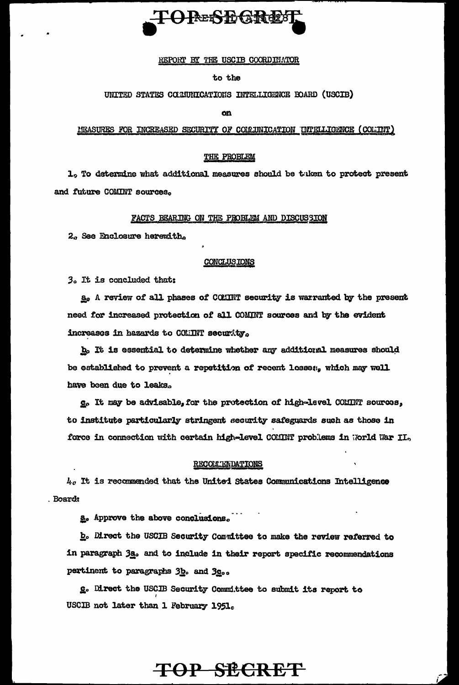

REPORT BY THE USCIB COORDINATOR

## to the

UNITED STATES COLUNICATIONS INTELLIGENCE BOARD (USCIB)

m

MEASURES FOR INCREASED SECURITY OF COLUNICATION INTELLIGENCE (COLINT)

## THE PROBLEM

1, To determine what additional measures should be tuken to protect present and future COMINT sources.

#### FACTS BEARING ON THE PROBLEM AND DISCUSSION

2. See Enclosure herewith.

### **CONCLUSIONS**

3. It is concluded that:

A review of all phases of COMINT security is warranted by the present need for increased protection of all COMINT sources and by the evident increases in hazards to COMINT security.

b. It is essential to determine whether any additional measures should be established to prevent a repetition of recent losse;, which may well have been due to leaks.

g. It may be advisable, for the protection of high-level COMINT sources, to institute particularly stringent security safeguards such as those in force in connection with certain high-level COMINT problems in World War II.

#### RECOLLENDATIONS

 $l_{i,c}$  It is recommended that the United States Communications Intelligence **Board:** 

a. Approve the above conclusions.

b. Direct the USCIB Security Committee to make the review referred to in paragraph 3a. and to include in their report specific recommendations pertinent to paragraphs 3h. and 3c...

g. Direct the USCIB Security Committee to submit its report to USCIB not later than 1 February 1951.

# TOP SECRET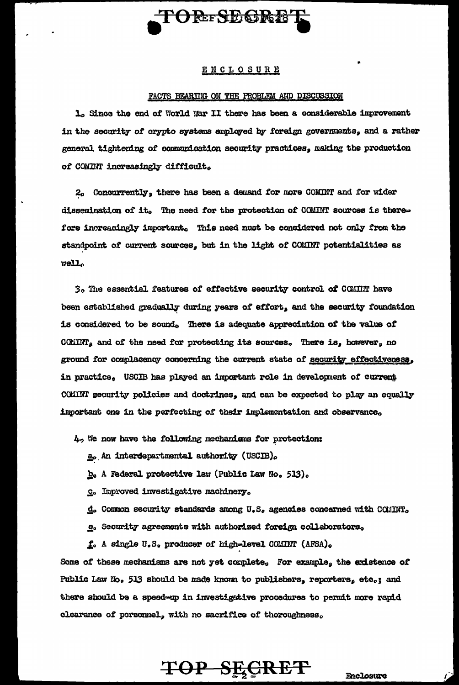

## ENCLOSURE

#### FACTS BEARTIG ON THE PROBLEM AND DISCUSSION

1. Since the end of World War II there has been a considerable improvement in the security of crypto systems employed by foreign governments, and a rather general tightening of communication security practices, making the production of COMINT increasingly difficult.

2. Concurrently, there has been a demand for more COMINT and for wider dissemination of it. The need for the protection of COMINT sources is therefore increasingly important. This need must be considered not only from the standpoint of current sources, but in the light of COMINT potentialities as  $rel1.$ 

3. The essential features of effective security control of COMINT have been established gradually during years of effort, and the security foundation is considered to be sound. There is adequate appreciation of the value of COMINT, and of the need for protecting its sources. There is, however, no ground for complacency concerning the current state of security effectiveness, in practice, USCIB has played an important role in development of current COMINT security policies and doctrines, and can be expected to play an equally important one in the perfecting of their implementation and observance.

 $4<sub>2</sub>$  We now have the following mechanisms for protection:

a. An interdepartmental authority (USCIB).

b. A Federal protective law (Public Law No. 513).

C. Improved investigative machinery.

d. Common security standards among U.S. agencies concerned with COMINT.

e. Security agreements with authorized foreign collaborators.

f. A single U.S. producer of high-level COMINT (AFSA).

Some of these mechanisms are not yet complete, For example, the existence of Public Law No. 513 should be made known to publishers, reporters, etc.; and there should be a speed-up in investigative procedures to permit more rapid clearance of porsonnel, with no sacrifice of thoroughness.

# TOP SECRET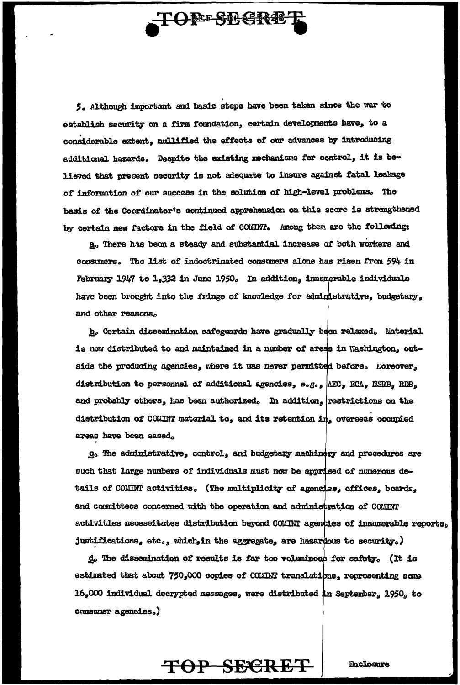# **TOPE-SEGRE**

5. Although important and basic steps have been taken since the war to establish security on a firm foundation, certain developments have, to a considerable extent, nullified the effects of our advances by introducing additional hazards. Despite the existing mechanisms for control, it is believed that present security is not adequate to insure against fatal leakage of information of our success in the solution of high-level problems. The basis of the Coordinator's continued apprehension on this score is strengthened by certain new factors in the field of COMINT. Among them are the following:

a. There has been a steady and substantial increase of both workers and consumers. The list of indoctrinated consumers alone has risen from 594 in February 1947 to 1,332 in June 1950. In addition, immunerable individuals have been brought into the fringe of knowledge for edministrative, budgetary, and other reasons,

b. Certain dissemination safeguards have gradually been relaxed. Laterial is now distributed to and maintained in a number of areas in Washington, outside the producing agencies, where it was never permitted before. Loreover, distribution to personnel of additional agencies, e.g., AEC, ECA, NSRB, RDB, and probably others, has been authorized. In addition, vestrictions on the distribution of CCLINT material to, and its retention  $\text{in}_2$  overseas occupied areas have been eased.

c. The administrative, control, and budgetary machinery and procedures are such that large numbers of individuals must now be apprised of numerous details of COMINT activities, (The multiplicity of agencies, offices, boards, and committees concerned with the operation and administration of COMINT activities necessitates distribution beyond COMINT agencies of innumerable reports, justifications, etc., which in the aggregate, are hazardous to security.)

 $d_0$  The dissemination of results is far too voluminous for safety. (It is estimated that about 750,000 copies of COMINT translations, representing some  $16_{s}$ 000 individual decrypted messages, were distributed in September, 1950, to consumer agencies.)

TOP SECRET

**Enclosure**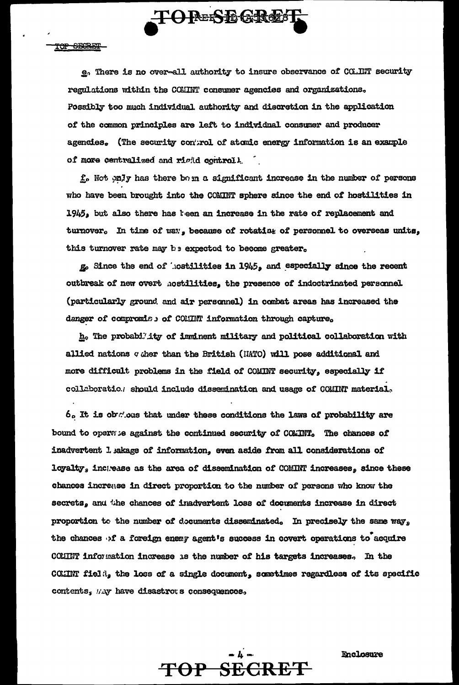

TOP SECRET

e. There is no over-all authority to insure observance of CO.INT security regulations within the COMINT consumer agencies and organizations. Possibly too much individual authority and discretion in the application of the common principles are left to individual consumer and producer agencies. (The security control of atomic energy information is an example of more centralized and righd controll.

f. Not only has there bom a significant increase in the number of persons who have been brought into the COMINT sphere since the end of hostilities in 1945, but also there has keen an increase in the rate of replacement and turnover. In time of way, because of rotating of personnel to overseas units, this turnover rate may be expected to become greater.

go Since the end of hostilities in 1945, and especially since the recent outbreak of new overt hostilities, the presence of indoctrinated personnel (particularly ground and air personnel) in combat areas has increased the danger of compromise of COMINT information through capture.

h. The probability of imminent military and political collaboration with allied nations quer than the British (HATO) will pose additional and more difficult problems in the field of COMINT security, especially if collaboratio.) should include dissemination and usage of COMINT material,

 $6.$  It is obteins that under these conditions the laws of probability are bound to operate against the continued security of COMINT. The chances of inadvertent 1 sakage of information, even aside from all considerations of loyalty, incgease as the area of dissemination of COMINT increases, since these chances increase in direct proportion to the number of persons who know the secrets, and the chances of inadvertent loss of documents increase in direct proportion to the number of documents disseminated. In precisely the same way, the chances of a foreign energ agent's success in covert operations to acquire COMINT information increase as the number of his targets increases. In the CCMIT field, the loss of a single document, sometimes regardless of its specific contents, May have disastrows consequences,

TOP SECRET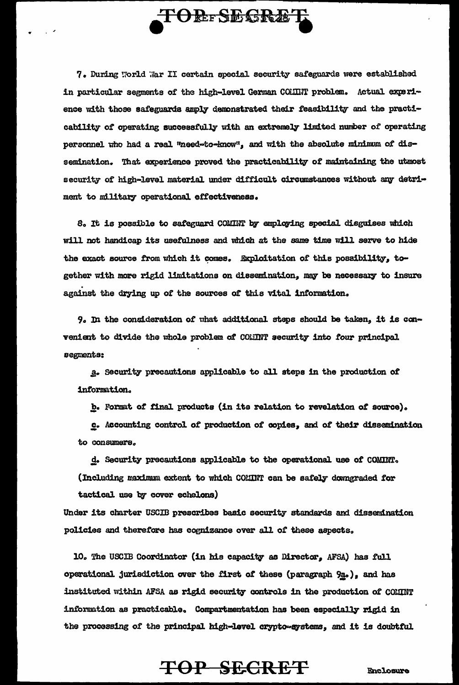

7. During World War II certain special security safeguards were established in particular segments of the high-level German COHINT problem. Actual experience with those safeguards amply demonstrated their feasibility and the practicability of operating successfully with an extremely limited number of operating personnel who had a real "need-to-know", and with the absolute minimum of dissemination. That experience proved the practicability of maintaining the utmost security of high-level material under difficult circumstances without any detriment to military operational effectiveness.

8. It is possible to safeguard COMINT by employing special disguises which will not handicap its usefulness and which at the same time will serve to hide the exact source from which it comes. Exploitation of this possibility, together with more rigid limitations on dissemination, may be necessary to insure against the drying up of the sources of this vital information.

9. In the consideration of what additional steps should be taken, it is convenient to divide the whole problem of COMINT security into four principal segments:

a. Security precautions applicable to all steps in the production of information.

b. Format of final products (in its relation to revelation of source).

c. Accounting control of production of copies, and of their dissemination to consumers.

d. Security precautions applicable to the operational use of COMINT. (Including maximum extent to which COMINT can be safely downgraded for tactical use by cover echelons)

Under its charter USCIB prescribes basic security standards and dissemination policies and therefore has cognizance over all of these aspects.

10. The USCIB Coordinator (in his capacity as Director, AFSA) has full operational jurisdiction over the first of these (paragraph 9a.), and has instituted within AFSA as rigid security controls in the production of COMINT information as practicable. Compartmentation has been especially rigid in the processing of the principal high-level crypto-systems, and it is doubtful.

# TOP SECRET